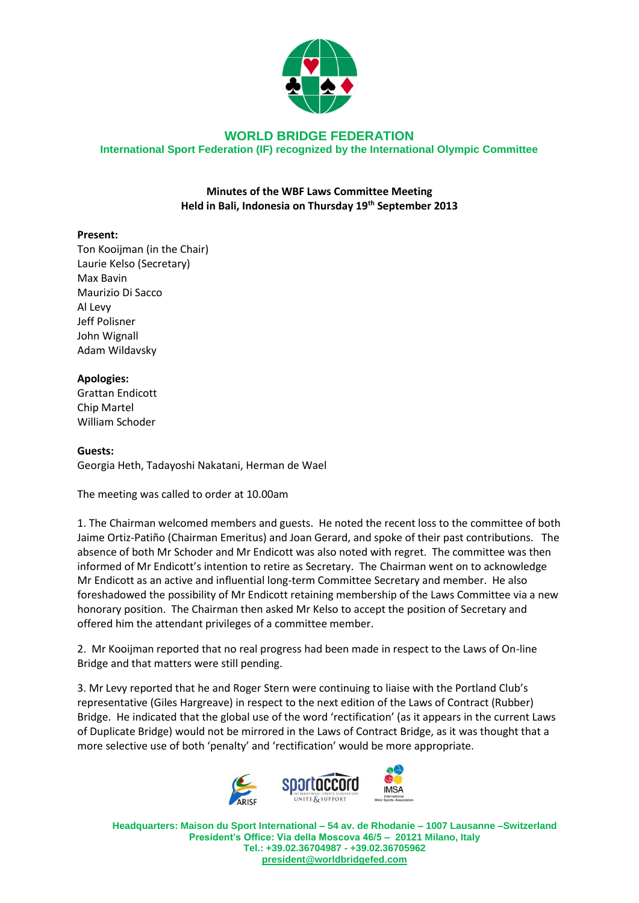

# **WORLD BRIDGE FEDERATION International Sport Federation (IF) recognized by the International Olympic Committee**

# **Minutes of the WBF Laws Committee Meeting Held in Bali, Indonesia on Thursday 19th September 2013**

# **Present:**

Ton Kooijman (in the Chair) Laurie Kelso (Secretary) Max Bavin Maurizio Di Sacco Al Levy Jeff Polisner John Wignall Adam Wildavsky

#### **Apologies:**

Grattan Endicott Chip Martel William Schoder

#### **Guests:**

Georgia Heth, Tadayoshi Nakatani, Herman de Wael

The meeting was called to order at 10.00am

1. The Chairman welcomed members and guests. He noted the recent loss to the committee of both Jaime Ortiz-Patiño (Chairman Emeritus) and Joan Gerard, and spoke of their past contributions. The absence of both Mr Schoder and Mr Endicott was also noted with regret. The committee was then informed of Mr Endicott's intention to retire as Secretary. The Chairman went on to acknowledge Mr Endicott as an active and influential long-term Committee Secretary and member. He also foreshadowed the possibility of Mr Endicott retaining membership of the Laws Committee via a new honorary position. The Chairman then asked Mr Kelso to accept the position of Secretary and offered him the attendant privileges of a committee member.

2. Mr Kooijman reported that no real progress had been made in respect to the Laws of On-line Bridge and that matters were still pending.

3. Mr Levy reported that he and Roger Stern were continuing to liaise with the Portland Club's representative (Giles Hargreave) in respect to the next edition of the Laws of Contract (Rubber) Bridge. He indicated that the global use of the word 'rectification' (as it appears in the current Laws of Duplicate Bridge) would not be mirrored in the Laws of Contract Bridge, as it was thought that a more selective use of both 'penalty' and 'rectification' would be more appropriate.



**Headquarters: Maison du Sport International – 54 av. de Rhodanie – 1007 Lausanne –Switzerland President's Office: Via della Moscova 46/5 – 20121 Milano, Italy Tel.: +39.02.36704987 - +39.02.36705962 [president@worldbridgefed.com](mailto:president@worldbridgefed.com)**